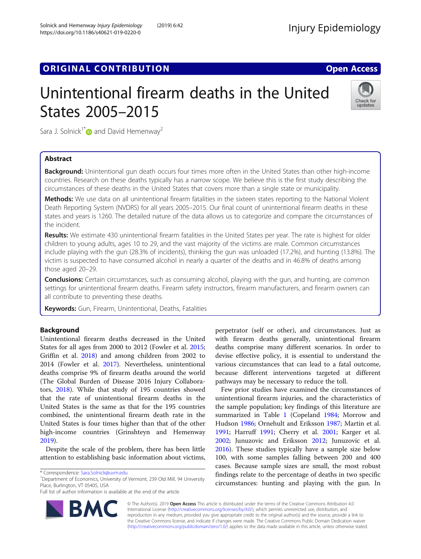## **ORIGINAL CONTRIBUTION CONTRIBUTION CONTRIBUTION**

# Unintentional firearm deaths in the United States 2005–2015



Sara J. Solnick<sup>1[\\*](http://orcid.org/0000-0002-3172-1041)</sup> and David Hemenway<sup>2</sup>

## Abstract

**Background:** Unintentional gun death occurs four times more often in the United States than other high-income countries. Research on these deaths typically has a narrow scope. We believe this is the first study describing the circumstances of these deaths in the United States that covers more than a single state or municipality.

**Methods:** We use data on all unintentional firearm fatalities in the sixteen states reporting to the National Violent Death Reporting System (NVDRS) for all years 2005–2015. Our final count of unintentional firearm deaths in these states and years is 1260. The detailed nature of the data allows us to categorize and compare the circumstances of the incident.

Results: We estimate 430 unintentional firearm fatalities in the United States per year. The rate is highest for older children to young adults, ages 10 to 29, and the vast majority of the victims are male. Common circumstances include playing with the gun (28.3% of incidents), thinking the gun was unloaded (17.2%), and hunting (13.8%). The victim is suspected to have consumed alcohol in nearly a quarter of the deaths and in 46.8% of deaths among those aged 20–29.

**Conclusions:** Certain circumstances, such as consuming alcohol, playing with the gun, and hunting, are common settings for unintentional firearm deaths. Firearm safety instructors, firearm manufacturers, and firearm owners can all contribute to preventing these deaths.

Keywords: Gun, Firearm, Unintentional, Deaths, Fatalities

## Background

Unintentional firearm deaths decreased in the United States for all ages from 2000 to 2012 (Fowler et al. [2015](#page-5-0); Griffin et al. [2018\)](#page-5-0) and among children from 2002 to 2014 (Fowler et al. [2017](#page-5-0)). Nevertheless, unintentional deaths comprise 9% of firearm deaths around the world (The Global Burden of Disease 2016 Injury Collaborators, [2018\)](#page-6-0). While that study of 195 countries showed that the rate of unintentional firearm deaths in the United States is the same as that for the 195 countries combined, the unintentional firearm death rate in the United States is four times higher than that of the other high-income countries (Grinshteyn and Hemenway [2019](#page-5-0)).

Despite the scale of the problem, there has been little attention to establishing basic information about victims,

<sup>1</sup>Department of Economics, University of Vermont, 239 Old Mill, 94 University Place, Burlington, VT 05405, USA

Full list of author information is available at the end of the article



perpetrator (self or other), and circumstances. Just as with firearm deaths generally, unintentional firearm deaths comprise many different scenarios. In order to devise effective policy, it is essential to understand the various circumstances that can lead to a fatal outcome, because different interventions targeted at different pathways may be necessary to reduce the toll.

Few prior studies have examined the circumstances of unintentional firearm injuries, and the characteristics of the sample population; key findings of this literature are summarized in Table [1](#page-1-0) (Copeland [1984;](#page-5-0) Morrow and Hudson [1986;](#page-6-0) Ornehult and Eriksson [1987;](#page-6-0) Martin et al. [1991](#page-6-0); Harruff [1991](#page-5-0); Cherry et al. [2001;](#page-5-0) Karger et al. [2002](#page-6-0); Junuzovic and Eriksson [2012;](#page-6-0) Junuzovic et al. [2016](#page-6-0)). These studies typically have a sample size below 100, with some samples falling between 200 and 400 cases. Because sample sizes are small, the most robust findings relate to the percentage of deaths in two specific circumstances: hunting and playing with the gun. In

© The Author(s). 2019 **Open Access** This article is distributed under the terms of the Creative Commons Attribution 4.0 International License [\(http://creativecommons.org/licenses/by/4.0/](http://creativecommons.org/licenses/by/4.0/)), which permits unrestricted use, distribution, and reproduction in any medium, provided you give appropriate credit to the original author(s) and the source, provide a link to the Creative Commons license, and indicate if changes were made. The Creative Commons Public Domain Dedication waiver [\(http://creativecommons.org/publicdomain/zero/1.0/](http://creativecommons.org/publicdomain/zero/1.0/)) applies to the data made available in this article, unless otherwise stated.

<sup>\*</sup> Correspondence: [Sara.Solnick@uvm.edu](mailto:Sara.Solnick@uvm.edu) <sup>1</sup>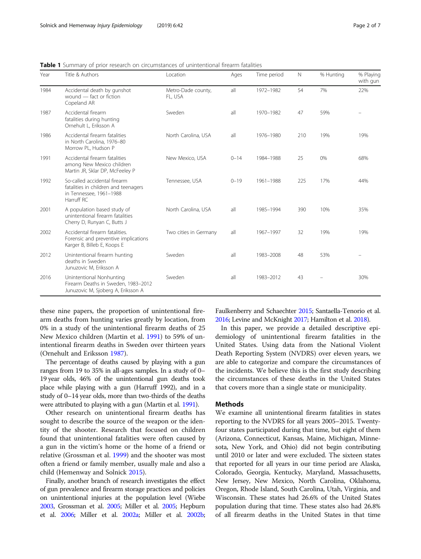| Year | Title & Authors                                                                                               | Location                      | Ages     | Time period | N   | % Hunting | % Playing<br>with gun    |
|------|---------------------------------------------------------------------------------------------------------------|-------------------------------|----------|-------------|-----|-----------|--------------------------|
| 1984 | Accidental death by gunshot<br>wound - fact or fiction<br>Copeland AR                                         | Metro-Dade county,<br>FL, USA | all      | 1972-1982   | 54  | 7%        | 22%                      |
| 1987 | Accidental firearm<br>fatalities during hunting<br>Ornehult L. Eriksson A                                     | Sweden                        | all      | 1970-1982   | 47  | 59%       |                          |
| 1986 | Accidental firearm fatalities<br>in North Carolina, 1976-80<br>Morrow PL, Hudson P                            | North Carolina, USA           | all      | 1976-1980   | 210 | 19%       | 19%                      |
| 1991 | Accidental firearm fatalities<br>among New Mexico children<br>Martin JR, Sklar DP, McFeeley P                 | New Mexico, USA               | $0 - 14$ | 1984-1988   | 25  | 0%        | 68%                      |
| 1992 | So-called accidental firearm<br>fatalities in children and teenagers<br>in Tennessee, 1961-1988<br>Harruff RC | Tennessee, USA                | $0 - 19$ | 1961-1988   | 225 | 17%       | 44%                      |
| 2001 | A population based study of<br>unintentional firearm fatalities<br>Cherry D, Runyan C, Butts J                | North Carolina, USA           | all      | 1985-1994   | 390 | 10%       | 35%                      |
| 2002 | Accidental firearm fatalities.<br>Forensic and preventive implications<br>Karger B, Billeb E, Koops E         | Two cities in Germany         | all      | 1967-1997   | 32  | 19%       | 19%                      |
| 2012 | Unintentional firearm hunting<br>deaths in Sweden<br>Junuzovic M, Eriksson A                                  | Sweden                        | all      | 1983-2008   | 48  | 53%       | $\overline{\phantom{0}}$ |
| 2016 | Unintentional Nonhunting<br>Firearm Deaths in Sweden, 1983-2012<br>Junuzovic M, Sjoberg A, Eriksson A         | Sweden                        | all      | 1983-2012   | 43  |           | 30%                      |

<span id="page-1-0"></span>Table 1 Summary of prior research on circumstances of unintentional firearm fatalities

these nine papers, the proportion of unintentional firearm deaths from hunting varies greatly by location, from 0% in a study of the unintentional firearm deaths of 25 New Mexico children (Martin et al. [1991\)](#page-6-0) to 59% of unintentional firearm deaths in Sweden over thirteen years (Ornehult and Eriksson [1987\)](#page-6-0).

The percentage of deaths caused by playing with a gun ranges from 19 to 35% in all-ages samples. In a study of 0– 19 year olds, 46% of the unintentional gun deaths took place while playing with a gun (Harruff 1992), and in a study of 0–14 year olds, more than two-thirds of the deaths were attributed to playing with a gun (Martin et al. [1991\)](#page-6-0).

Other research on unintentional firearm deaths has sought to describe the source of the weapon or the identity of the shooter. Research that focused on children found that unintentional fatalities were often caused by a gun in the victim's home or the home of a friend or relative (Grossman et al. [1999](#page-5-0)) and the shooter was most often a friend or family member, usually male and also a child (Hemenway and Solnick [2015\)](#page-5-0).

Finally, another branch of research investigates the effect of gun prevalence and firearm storage practices and policies on unintentional injuries at the population level (Wiebe [2003,](#page-6-0) Grossman et al. [2005](#page-5-0); Miller et al. [2005](#page-6-0); Hepburn et al. [2006;](#page-6-0) Miller et al. [2002a](#page-6-0); Miller et al. [2002b](#page-6-0);

Faulkenberry and Schaechter [2015](#page-5-0); Santaella-Tenorio et al. [2016;](#page-6-0) Levine and McKnight [2017;](#page-6-0) Hamilton et al. [2018](#page-5-0)).

In this paper, we provide a detailed descriptive epidemiology of unintentional firearm fatalities in the United States. Using data from the National Violent Death Reporting System (NVDRS) over eleven years, we are able to categorize and compare the circumstances of the incidents. We believe this is the first study describing the circumstances of these deaths in the United States that covers more than a single state or municipality.

#### **Methods**

We examine all unintentional firearm fatalities in states reporting to the NVDRS for all years 2005–2015. Twentyfour states participated during that time, but eight of them (Arizona, Connecticut, Kansas, Maine, Michigan, Minnesota, New York, and Ohio) did not begin contributing until 2010 or later and were excluded. The sixteen states that reported for all years in our time period are Alaska, Colorado, Georgia, Kentucky, Maryland, Massachusetts, New Jersey, New Mexico, North Carolina, Oklahoma, Oregon, Rhode Island, South Carolina, Utah, Virginia, and Wisconsin. These states had 26.6% of the United States population during that time. These states also had 26.8% of all firearm deaths in the United States in that time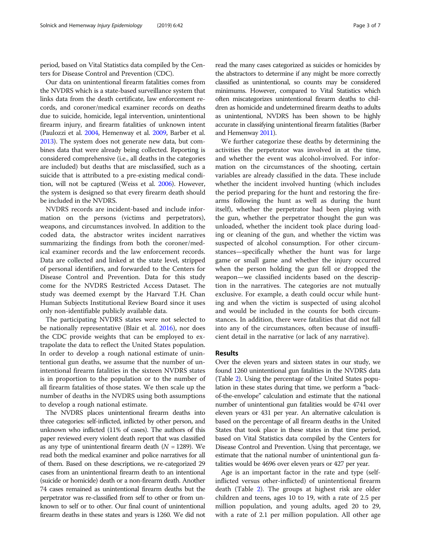period, based on Vital Statistics data compiled by the Centers for Disease Control and Prevention (CDC).

Our data on unintentional firearm fatalities comes from the NVDRS which is a state-based surveillance system that links data from the death certificate, law enforcement records, and coroner/medical examiner records on deaths due to suicide, homicide, legal intervention, unintentional firearm injury, and firearm fatalities of unknown intent (Paulozzi et al. [2004,](#page-6-0) Hemenway et al. [2009](#page-5-0), Barber et al. [2013\)](#page-5-0). The system does not generate new data, but combines data that were already being collected. Reporting is considered comprehensive (i.e., all deaths in the categories are included) but deaths that are misclassified, such as a suicide that is attributed to a pre-existing medical condition, will not be captured (Weiss et al. [2006](#page-6-0)). However, the system is designed so that every firearm death should be included in the NVDRS.

NVDRS records are incident-based and include information on the persons (victims and perpetrators), weapons, and circumstances involved. In addition to the coded data, the abstractor writes incident narratives summarizing the findings from both the coroner/medical examiner records and the law enforcement records. Data are collected and linked at the state level, stripped of personal identifiers, and forwarded to the Centers for Disease Control and Prevention. Data for this study come for the NVDRS Restricted Access Dataset. The study was deemed exempt by the Harvard T.H. Chan Human Subjects Institutional Review Board since it uses only non-identifiable publicly available data.

The participating NVDRS states were not selected to be nationally representative (Blair et al. [2016\)](#page-5-0), nor does the CDC provide weights that can be employed to extrapolate the data to reflect the United States population. In order to develop a rough national estimate of unintentional gun deaths, we assume that the number of unintentional firearm fatalities in the sixteen NVDRS states is in proportion to the population or to the number of all firearm fatalities of those states. We then scale up the number of deaths in the NVDRS using both assumptions to develop a rough national estimate.

The NVDRS places unintentional firearm deaths into three categories: self-inflicted, inflicted by other person, and unknown who inflicted (11% of cases). The authors of this paper reviewed every violent death report that was classified as any type of unintentional firearm death  $(N = 1289)$ . We read both the medical examiner and police narratives for all of them. Based on these descriptions, we re-categorized 29 cases from an unintentional firearm death to an intentional (suicide or homicide) death or a non-firearm death. Another 74 cases remained as unintentional firearm deaths but the perpetrator was re-classified from self to other or from unknown to self or to other. Our final count of unintentional firearm deaths in these states and years is 1260. We did not

read the many cases categorized as suicides or homicides by the abstractors to determine if any might be more correctly classified as unintentional, so counts may be considered minimums. However, compared to Vital Statistics which often miscategorizes unintentional firearm deaths to children as homicide and undetermined firearm deaths to adults as unintentional, NVDRS has been shown to be highly accurate in classifying unintentional firearm fatalities (Barber and Hemenway [2011\)](#page-5-0).

We further categorize these deaths by determining the activities the perpetrator was involved in at the time, and whether the event was alcohol-involved. For information on the circumstances of the shooting, certain variables are already classified in the data. These include whether the incident involved hunting (which includes the period preparing for the hunt and restoring the firearms following the hunt as well as during the hunt itself), whether the perpetrator had been playing with the gun, whether the perpetrator thought the gun was unloaded, whether the incident took place during loading or cleaning of the gun, and whether the victim was suspected of alcohol consumption. For other circumstances—specifically whether the hunt was for large game or small game and whether the injury occurred when the person holding the gun fell or dropped the weapon—we classified incidents based on the description in the narratives. The categories are not mutually exclusive. For example, a death could occur while hunting and when the victim is suspected of using alcohol and would be included in the counts for both circumstances. In addition, there were fatalities that did not fall into any of the circumstances, often because of insufficient detail in the narrative (or lack of any narrative).

#### Results

Over the eleven years and sixteen states in our study, we found 1260 unintentional gun fatalities in the NVDRS data (Table [2\)](#page-3-0). Using the percentage of the United States population in these states during that time, we perform a "backof-the-envelope" calculation and estimate that the national number of unintentional gun fatalities would be 4741 over eleven years or 431 per year. An alternative calculation is based on the percentage of all firearm deaths in the United States that took place in these states in that time period, based on Vital Statistics data compiled by the Centers for Disease Control and Prevention. Using that percentage, we estimate that the national number of unintentional gun fatalities would be 4696 over eleven years or 427 per year.

Age is an important factor in the rate and type (selfinflicted versus other-inflicted) of unintentional firearm death (Table [2](#page-3-0)). The groups at highest risk are older children and teens, ages 10 to 19, with a rate of 2.5 per million population, and young adults, aged 20 to 29, with a rate of 2.1 per million population. All other age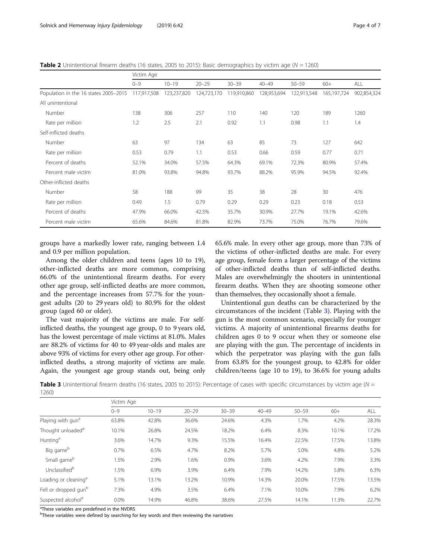<span id="page-3-0"></span>**Table 2** Unintentional firearm deaths (16 states, 2005 to 2015): Basic demographics by victim age ( $N = 1260$ )

|                                       | Victim Age  |             |             |             |             |             |             |             |
|---------------------------------------|-------------|-------------|-------------|-------------|-------------|-------------|-------------|-------------|
|                                       | $0 - 9$     | $10 - 19$   | $20 - 29$   | $30 - 39$   | $40 - 49$   | $50 - 59$   | $60+$       | ALL         |
| Population in the 16 states 2005-2015 | 117,917,508 | 123,237,820 | 124,723,170 | 119,910,860 | 128,953,694 | 122,913,548 | 165,197,724 | 902,854,324 |
| All unintentional                     |             |             |             |             |             |             |             |             |
| Number                                | 138         | 306         | 257         | 110         | 140         | 120         | 189         | 1260        |
| Rate per million                      | 1.2         | 2.5         | 2.1         | 0.92        | 1.1         | 0.98        | 1.1         | 1.4         |
| Self-inflicted deaths                 |             |             |             |             |             |             |             |             |
| Number                                | 63          | 97          | 134         | 63          | 85          | 73          | 127         | 642         |
| Rate per million                      | 0.53        | 0.79        | 1.1         | 0.53        | 0.66        | 0.59        | 0.77        | 0.71        |
| Percent of deaths                     | 52.1%       | 34.0%       | 57.5%       | 64.3%       | 69.1%       | 72.3%       | 80.9%       | 57.4%       |
| Percent male victim                   | 81.0%       | 93.8%       | 94.8%       | 93.7%       | 88.2%       | 95.9%       | 94.5%       | 92.4%       |
| Other-inflicted deaths                |             |             |             |             |             |             |             |             |
| Number                                | 58          | 188         | 99          | 35          | 38          | 28          | 30          | 476         |
| Rate per million                      | 0.49        | 1.5         | 0.79        | 0.29        | 0.29        | 0.23        | 0.18        | 0.53        |
| Percent of deaths                     | 47.9%       | 66.0%       | 42.5%       | 35.7%       | 30.9%       | 27.7%       | 19.1%       | 42.6%       |
| Percent male victim                   | 65.6%       | 84.6%       | 81.8%       | 82.9%       | 73.7%       | 75.0%       | 76.7%       | 79.6%       |

groups have a markedly lower rate, ranging between 1.4 and 0.9 per million population.

Among the older children and teens (ages 10 to 19), other-inflicted deaths are more common, comprising 66.0% of the unintentional firearm deaths. For every other age group, self-inflicted deaths are more common, and the percentage increases from 57.7% for the youngest adults (20 to 29 years old) to 80.9% for the oldest group (aged 60 or older).

The vast majority of the victims are male. For selfinflicted deaths, the youngest age group, 0 to 9 years old, has the lowest percentage of male victims at 81.0%. Males are 88.2% of victims for 40 to 49 year-olds and males are above 93% of victims for every other age group. For otherinflicted deaths, a strong majority of victims are male. Again, the youngest age group stands out, being only 65.6% male. In every other age group, more than 73% of the victims of other-inflicted deaths are male. For every age group, female form a larger percentage of the victims of other-inflicted deaths than of self-inflicted deaths. Males are overwhelmingly the shooters in unintentional firearm deaths. When they are shooting someone other than themselves, they occasionally shoot a female.

Unintentional gun deaths can be characterized by the circumstances of the incident (Table 3). Playing with the gun is the most common scenario, especially for younger victims. A majority of unintentional firearms deaths for children ages 0 to 9 occur when they or someone else are playing with the gun. The percentage of incidents in which the perpetrator was playing with the gun falls from 63.8% for the youngest group, to 42.8% for older children/teens (age 10 to 19), to 36.6% for young adults

**Table 3** Unintentional firearm deaths (16 states, 2005 to 2015): Percentage of cases with specific circumstances by victim age ( $N =$  $1260$ 

| I ZUUJ                           |            |           |           |           |           |           |       |       |  |  |
|----------------------------------|------------|-----------|-----------|-----------|-----------|-----------|-------|-------|--|--|
|                                  | Victim Age |           |           |           |           |           |       |       |  |  |
|                                  | $0 - 9$    | $10 - 19$ | $20 - 29$ | $30 - 39$ | $40 - 49$ | $50 - 59$ | $60+$ | ALL   |  |  |
| Playing with gun <sup>a</sup>    | 63.8%      | 42.8%     | 36.6%     | 24.6%     | 4.3%      | 1.7%      | 4.2%  | 28.3% |  |  |
| Thought unloaded <sup>a</sup>    | 10.1%      | 26.8%     | 24.5%     | 18.2%     | 6.4%      | 8.3%      | 10.1% | 17.2% |  |  |
| Hunting <sup>a</sup>             | 3.6%       | 14.7%     | 9.3%      | 15.5%     | 16.4%     | 22.5%     | 17.5% | 13.8% |  |  |
| Big game <sup>b</sup>            | 0.7%       | 6.5%      | 4.7%      | 8.2%      | 5.7%      | 5.0%      | 4.8%  | 5.2%  |  |  |
| Small game <sup>b</sup>          | 1.5%       | 2.9%      | 1.6%      | 0.9%      | 3.6%      | 4.2%      | 7.9%  | 3.3%  |  |  |
| Unclassified <sup>b</sup>        | 1.5%       | 6.9%      | 3.9%      | 6.4%      | 7.9%      | 14.2%     | 5.8%  | 6.3%  |  |  |
| Loading or cleaning <sup>a</sup> | 5.1%       | 13.1%     | 13.2%     | 10.9%     | 14.3%     | 20.0%     | 17.5% | 13.5% |  |  |
| Fell or dropped gun <sup>b</sup> | 7.3%       | 4.9%      | 3.5%      | 6.4%      | 7.1%      | 10.0%     | 7.9%  | 6.2%  |  |  |
| Suspected alcohol <sup>a</sup>   | 0.0%       | 14.9%     | 46.8%     | 38.6%     | 27.5%     | 14.1%     | 11.3% | 22.7% |  |  |

<sup>a</sup>These variables are predefined in the NVDRS

<sup>b</sup>These variables were defined by searching for key words and then reviewing the narratives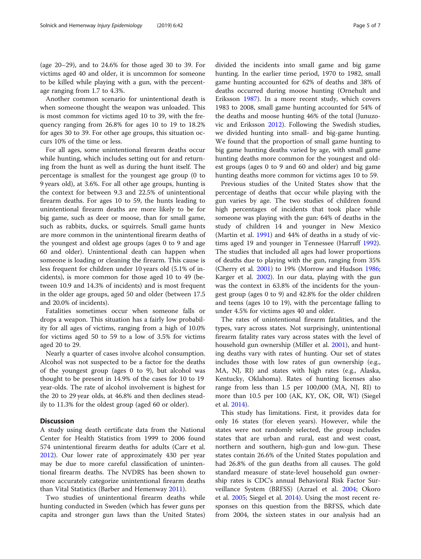(age 20–29), and to 24.6% for those aged 30 to 39. For victims aged 40 and older, it is uncommon for someone to be killed while playing with a gun, with the percentage ranging from 1.7 to 4.3%.

Another common scenario for unintentional death is when someone thought the weapon was unloaded. This is most common for victims aged 10 to 39, with the frequency ranging from 26.8% for ages 10 to 19 to 18.2% for ages 30 to 39. For other age groups, this situation occurs 10% of the time or less.

For all ages, some unintentional firearm deaths occur while hunting, which includes setting out for and returning from the hunt as well as during the hunt itself. The percentage is smallest for the youngest age group (0 to 9 years old), at 3.6%. For all other age groups, hunting is the context for between 9.3 and 22.5% of unintentional firearm deaths. For ages 10 to 59, the hunts leading to unintentional firearm deaths are more likely to be for big game, such as deer or moose, than for small game, such as rabbits, ducks, or squirrels. Small game hunts are more common in the unintentional firearm deaths of the youngest and oldest age groups (ages 0 to 9 and age 60 and older). Unintentional death can happen when someone is loading or cleaning the firearm. This cause is less frequent for children under 10 years old (5.1% of incidents), is more common for those aged 10 to 49 (between 10.9 and 14.3% of incidents) and is most frequent in the older age groups, aged 50 and older (between 17.5 and 20.0% of incidents).

Fatalities sometimes occur when someone falls or drops a weapon. This situation has a fairly low probability for all ages of victims, ranging from a high of 10.0% for victims aged 50 to 59 to a low of 3.5% for victims aged 20 to 29.

Nearly a quarter of cases involve alcohol consumption. Alcohol was not suspected to be a factor for the deaths of the youngest group (ages 0 to 9), but alcohol was thought to be present in 14.9% of the cases for 10 to 19 year-olds. The rate of alcohol involvement is highest for the 20 to 29 year olds, at 46.8% and then declines steadily to 11.3% for the oldest group (aged 60 or older).

#### **Discussion**

A study using death certificate data from the National Center for Health Statistics from 1999 to 2006 found 574 unintentional firearm deaths for adults (Carr et al. [2012](#page-5-0)). Our lower rate of approximately 430 per year may be due to more careful classification of unintentional firearm deaths. The NVDRS has been shown to more accurately categorize unintentional firearm deaths than Vital Statistics (Barber and Hemenway [2011\)](#page-5-0).

Two studies of unintentional firearm deaths while hunting conducted in Sweden (which has fewer guns per capita and stronger gun laws than the United States)

divided the incidents into small game and big game hunting. In the earlier time period, 1970 to 1982, small game hunting accounted for 62% of deaths and 38% of deaths occurred during moose hunting (Ornehult and Eriksson [1987](#page-6-0)). In a more recent study, which covers 1983 to 2008, small game hunting accounted for 54% of the deaths and moose hunting 46% of the total (Junuzovic and Eriksson [2012](#page-6-0)). Following the Swedish studies, we divided hunting into small- and big-game hunting. We found that the proportion of small game hunting to big game hunting deaths varied by age, with small game hunting deaths more common for the youngest and oldest groups (ages 0 to 9 and 60 and older) and big game hunting deaths more common for victims ages 10 to 59.

Previous studies of the United States show that the percentage of deaths that occur while playing with the gun varies by age. The two studies of children found high percentages of incidents that took place while someone was playing with the gun: 64% of deaths in the study of children 14 and younger in New Mexico (Martin et al. [1991](#page-6-0)) and 44% of deaths in a study of victims aged 19 and younger in Tennessee (Harruff [1992](#page-5-0)). The studies that included all ages had lower proportions of deaths due to playing with the gun, ranging from 35% (Cherry et al. [2001](#page-5-0)) to 19% (Morrow and Hudson [1986](#page-6-0); Karger et al. [2002\)](#page-6-0). In our data, playing with the gun was the context in 63.8% of the incidents for the youngest group (ages 0 to 9) and 42.8% for the older children and teens (ages 10 to 19), with the percentage falling to under 4.5% for victims ages 40 and older.

The rates of unintentional firearm fatalities, and the types, vary across states. Not surprisingly, unintentional firearm fatality rates vary across states with the level of household gun ownership (Miller et al. [2001\)](#page-6-0), and hunting deaths vary with rates of hunting. Our set of states includes those with low rates of gun ownership (e.g., MA, NJ, RI) and states with high rates (e.g., Alaska, Kentucky, Oklahoma). Rates of hunting licenses also range from less than 1.5 per 100,000 (MA, NJ, RI) to more than 10.5 per 100 (AK, KY, OK, OR, WI) (Siegel et al. [2014\)](#page-6-0).

This study has limitations. First, it provides data for only 16 states (for eleven years). However, while the states were not randomly selected, the group includes states that are urban and rural, east and west coast, northern and southern, high-gun and low-gun. These states contain 26.6% of the United States population and had 26.8% of the gun deaths from all causes. The gold standard measure of state-level household gun ownership rates is CDC's annual Behavioral Risk Factor Surveillance System (BRFSS) (Azrael et al. [2004;](#page-5-0) Okoro et al. [2005;](#page-6-0) Siegel et al. [2014\)](#page-6-0). Using the most recent responses on this question from the BRFSS, which date from 2004, the sixteen states in our analysis had an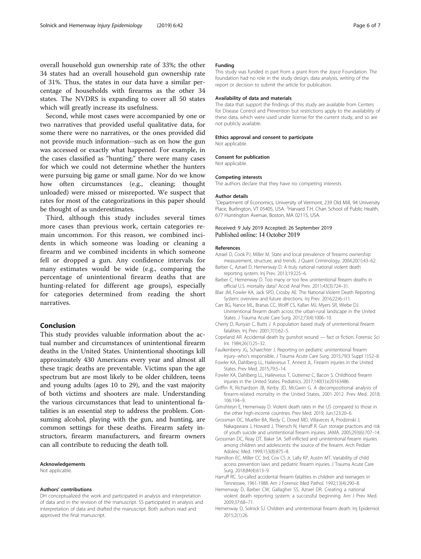<span id="page-5-0"></span>overall household gun ownership rate of 33%; the other 34 states had an overall household gun ownership rate of 31%. Thus, the states in our data have a similar percentage of households with firearms as the other 34 states. The NVDRS is expanding to cover all 50 states which will greatly increase its usefulness.

Second, while most cases were accompanied by one or two narratives that provided useful qualitative data, for some there were no narratives, or the ones provided did not provide much information--such as on how the gun was accessed or exactly what happened. For example, in the cases classified as "hunting;" there were many cases for which we could not determine whether the hunters were pursuing big game or small game. Nor do we know how often circumstances (e.g., cleaning; thought unloaded) were missed or misreported. We suspect that rates for most of the categorizations in this paper should be thought of as underestimates.

Third, although this study includes several times more cases than previous work, certain categories remain uncommon. For this reason, we combined incidents in which someone was loading or cleaning a firearm and we combined incidents in which someone fell or dropped a gun. Any confidence intervals for many estimates would be wide (e.g., comparing the percentage of unintentional firearm deaths that are hunting-related for different age groups), especially for categories determined from reading the short narratives.

#### Conclusion

This study provides valuable information about the actual number and circumstances of unintentional firearm deaths in the United States. Unintentional shootings kill approximately 430 Americans every year and almost all these tragic deaths are preventable. Victims span the age spectrum but are most likely to be older children, teens and young adults (ages 10 to 29), and the vast majority of both victims and shooters are male. Understanding the various circumstances that lead to unintentional fatalities is an essential step to address the problem. Consuming alcohol, playing with the gun, and hunting, are common settings for these deaths. Firearm safety instructors, firearm manufacturers, and firearm owners can all contribute to reducing the death toll.

#### Acknowledgements

Not applicable.

#### Authors' contributions

DH conceptualized the work and participated in analysis and interpretation of data and in the revision of the manuscript. SS participated in analysis and interpretation of data and drafted the manuscript. Both authors read and approved the final manuscript.

#### Funding

This study was funded in part from a grant from the Joyce Foundation. The foundation had no role in the study design, data analysis, writing of the report or decision to submit the article for publication.

#### Availability of data and materials

The data that support the findings of this study are available from Centers for Disease Control and Prevention but restrictions apply to the availability of these data, which were used under license for the current study, and so are not publicly available.

#### Ethics approval and consent to participate

Not applicable.

#### Consent for publication

Not applicable.

#### Competing interests

The authors declare that they have no competing interests.

#### Author details

<sup>1</sup>Department of Economics, University of Vermont, 239 Old Mill, 94 University Place, Burlington, VT 05405, USA. <sup>2</sup> Harvard T.H. Chan School of Public Health 677 Huntington Avenue, Boston, MA 02115, USA.

## Received: 9 July 2019 Accepted: 26 September 2019

#### References

- Azrael D, Cook PJ, Miller M. State and local prevalence of firearms ownership: measurement, structure, and trends. J Quant Criminology. 2004;20(1):43–62.
- Barber C, Azrael D, Hemenway D. A truly national national violent death reporting system. Inj Prev. 2013;19:225–6.
- Barber C, Hemenway D. Too many or too few unintentional firearm deaths in official U.S. mortality data? Accid Anal Prev. 2011;43(3):724–31.
- Blair JM, Fowler KA, Jack SPD, Crosby AE. The National Violent Death Reporting System: overview and future directions. Inj Prev. 2016;22:i6–i11.
- Carr BG, Nance ML, Branas CC, Wolff CS, Kallan MJ, Myers SR, Wiebe DJ. Unintentional firearm death across the urban-rural landscape in the United States. J Trauma Acute Care Surg. 2012;73(4):1006–10.
- Cherry D, Runyan C, Butts J. A population based study of unintentional firearm fatalities. Inj Prev. 2001;7(1):62–5.
- Copeland AR. Accidental death by gunshot wound fact or fiction. Forensic Sci Int. 1984;26(1):25–32.
- Faulkenberry JG, Schaechter J. Reporting on pediatric unintentional firearm injury--who's responsible. J Trauma Acute Care Surg. 2015;79(3 Suppl 1):S2–8.
- Fowler KA, Dahlberg LL, Hailevesus T, Annest JL. Firearm injuries in the United States. Prev Med. 2015;79:5–14.
- Fowler KA, Dahlberg LL, Hailevesus T, Gutierrez C, Bacon S. Childhood firearm injuries in the United States. Pediatrics. 2017;140(1):e20163486.
- Griffin R, Richardson JB, Kerby JD, McGwin G. A decompositional analysis of firearm-related mortality in the United States, 2001-2012. Prev Med. 2018; 106:194–9.
- Grinshteyn E, Hemenway D. Violent death rates in the US compared to those in the other high-income countries. Prev Med. 2019; Jun;123:20–6.
- Grossman DC, Mueller BA, Riedy C, Dowd MD, Villaveces A, Prodzinski J, Nakagawara J, Howard J, Thiersch N, Harruff R. Gun storage practices and risk of youth suicide and unintentional firearm injuries. JAMA. 2005;293(6):707–14.
- Grossman DC, Reay DT, Baker SA. Self-inflicted and unintentional firearm injuries among children and adolescents: the source of the firearm. Arch Pediatr Adolesc Med. 1999;153(8):875–8.
- Hamilton EC, Miller CC 3rd, Cox CS Jr, Lally KP, Austin MT. Variability of child access prevention laws and pediatric firearm injuries. J Trauma Acute Care Surg. 2018;84(4):613–9.
- Harruff RC. So-called accidental firearm fatalities in children and teenagers in Tennessee, 1961-1988. Am J Forensic Med Pathol. 1992;13(4):290–8.
- Hemenway D, Barber CW, Gallagher SS, Azrael DR. Creating a national violent death reporting system: a successful beginning. Am J Prev Med. 2009;37:68–71.
- Hemenway D, Solnick SJ. Children and unintentional firearm death. Inj Epidemiol. 2015;2(1):26.